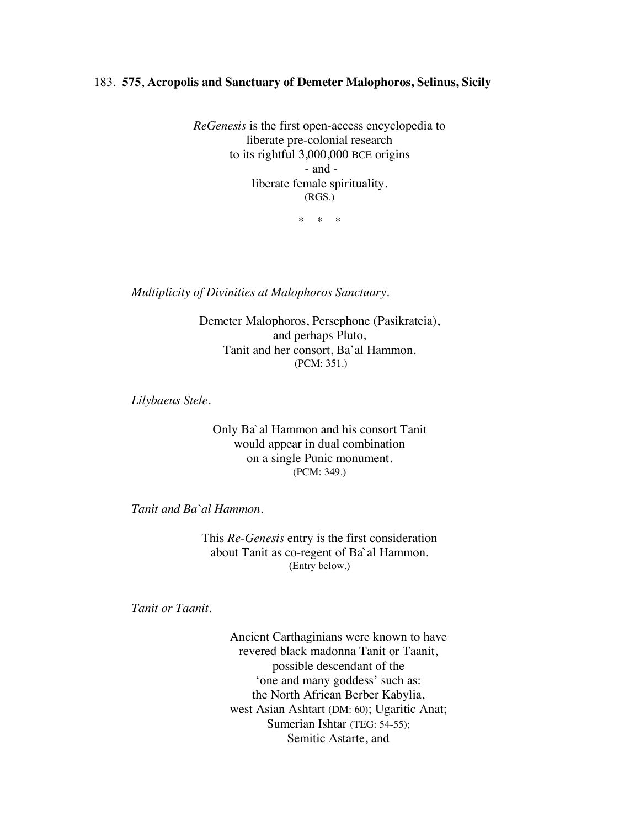## 183. **575**, **Acropolis and Sanctuary of Demeter Malophoros, Selinus, Sicily**

*ReGenesis* is the first open-access encyclopedia to liberate pre-colonial research to its rightful 3,000,000 BCE origins - and liberate female spirituality. (RGS.)

\* \* \*

*Multiplicity of Divinities at Malophoros Sanctuary*.

Demeter Malophoros, Persephone (Pasikrateia), and perhaps Pluto, Tanit and her consort, Ba'al Hammon. (PCM: 351.)

*Lilybaeus Stele*.

Only Ba`al Hammon and his consort Tanit would appear in dual combination on a single Punic monument. (PCM: 349.)

*Tanit and Ba`al Hammon.*

This *Re-Genesis* entry is the first consideration about Tanit as co-regent of Ba`al Hammon. (Entry below.)

*Tanit or Taanit.*

Ancient Carthaginians were known to have revered black madonna Tanit or Taanit, possible descendant of the 'one and many goddess' such as: the North African Berber Kabylia, west Asian Ashtart (DM: 60); Ugaritic Anat; Sumerian Ishtar (TEG: 54-55); Semitic Astarte, and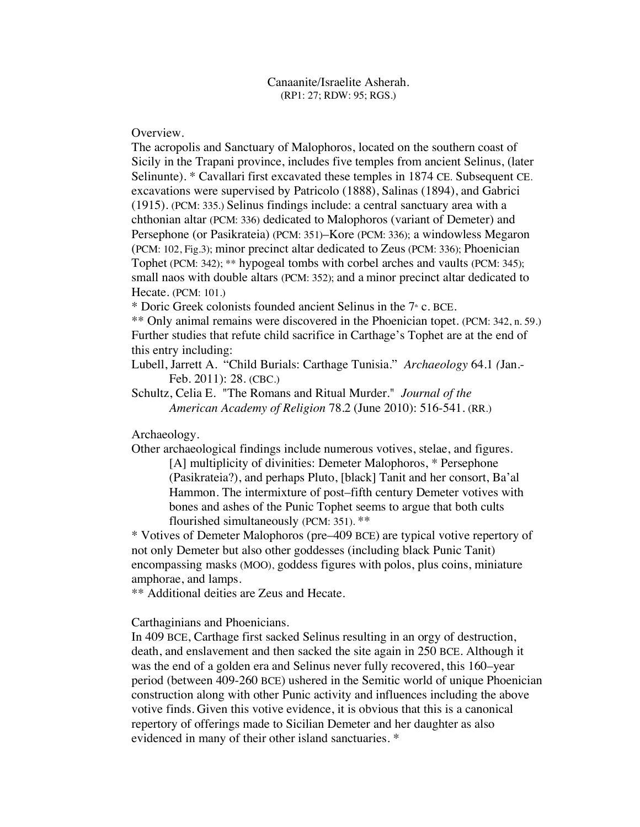Overview.

The acropolis and Sanctuary of Malophoros, located on the southern coast of Sicily in the Trapani province, includes five temples from ancient Selinus, (later Selinunte). \* Cavallari first excavated these temples in 1874 CE. Subsequent CE. excavations were supervised by Patricolo (1888), Salinas (1894), and Gabrici (1915). (PCM: 335.) Selinus findings include: a central sanctuary area with a chthonian altar (PCM: 336) dedicated to Malophoros (variant of Demeter) and Persephone (or Pasikrateia) (PCM: 351)–Kore (PCM: 336); a windowless Megaron (PCM: 102, Fig.3); minor precinct altar dedicated to Zeus (PCM: 336); Phoenician Tophet (PCM: 342); \*\* hypogeal tombs with corbel arches and vaults (PCM: 345); small naos with double altars (PCM: 352); and a minor precinct altar dedicated to Hecate. (PCM: 101.)

\* Doric Greek colonists founded ancient Selinus in the  $7<sup>*</sup>$  c. BCE.

\*\* Only animal remains were discovered in the Phoenician topet. (PCM: 342, n. 59.) Further studies that refute child sacrifice in Carthage's Tophet are at the end of this entry including:

Lubell, Jarrett A. "Child Burials: Carthage Tunisia." *Archaeology* 64.1 *(*Jan.- Feb. 2011): 28. (CBC.)

Schultz, Celia E. "The Romans and Ritual Murder." *Journal of the American Academy of Religion* 78.2 (June 2010): 516-541. (RR.)

Archaeology.

Other archaeological findings include numerous votives, stelae, and figures. [A] multiplicity of divinities: Demeter Malophoros, \* Persephone (Pasikrateia?), and perhaps Pluto, [black] Tanit and her consort, Ba'al Hammon. The intermixture of post–fifth century Demeter votives with bones and ashes of the Punic Tophet seems to argue that both cults flourished simultaneously (PCM: 351). \*\*

\* Votives of Demeter Malophoros (pre–409 BCE) are typical votive repertory of not only Demeter but also other goddesses (including black Punic Tanit) encompassing masks (MOO), goddess figures with polos, plus coins, miniature amphorae, and lamps.

\*\* Additional deities are Zeus and Hecate.

Carthaginians and Phoenicians.

In 409 BCE, Carthage first sacked Selinus resulting in an orgy of destruction, death, and enslavement and then sacked the site again in 250 BCE. Although it was the end of a golden era and Selinus never fully recovered, this 160–year period (between 409-260 BCE) ushered in the Semitic world of unique Phoenician construction along with other Punic activity and influences including the above votive finds. Given this votive evidence, it is obvious that this is a canonical repertory of offerings made to Sicilian Demeter and her daughter as also evidenced in many of their other island sanctuaries. \*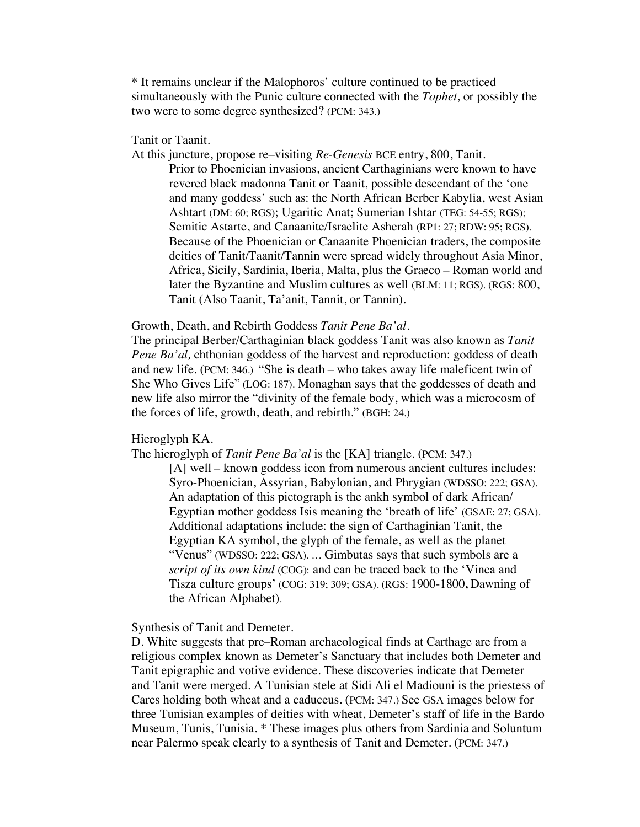\* It remains unclear if the Malophoros' culture continued to be practiced simultaneously with the Punic culture connected with the *Tophet*, or possibly the two were to some degree synthesized? (PCM: 343.)

Tanit or Taanit.

At this juncture, propose re–visiting *Re-Genesis* BCE entry, 800, Tanit.

Prior to Phoenician invasions, ancient Carthaginians were known to have revered black madonna Tanit or Taanit, possible descendant of the 'one and many goddess' such as: the North African Berber Kabylia, west Asian Ashtart (DM: 60; RGS); Ugaritic Anat; Sumerian Ishtar (TEG: 54-55; RGS); Semitic Astarte, and Canaanite/Israelite Asherah (RP1: 27; RDW: 95; RGS). Because of the Phoenician or Canaanite Phoenician traders, the composite deities of Tanit/Taanit/Tannin were spread widely throughout Asia Minor, Africa, Sicily, Sardinia, Iberia, Malta, plus the Graeco – Roman world and later the Byzantine and Muslim cultures as well (BLM: 11; RGS). (RGS: 800, Tanit (Also Taanit, Ta'anit, Tannit, or Tannin).

### Growth, Death, and Rebirth Goddess *Tanit Pene Ba'al.*

The principal Berber/Carthaginian black goddess Tanit was also known as *Tanit Pene Ba'al,* chthonian goddess of the harvest and reproduction: goddess of death and new life. (PCM: 346.) "She is death – who takes away life maleficent twin of She Who Gives Life" (LOG: 187). Monaghan says that the goddesses of death and new life also mirror the "divinity of the female body, which was a microcosm of the forces of life, growth, death, and rebirth." (BGH: 24.)

# Hieroglyph KA.

The hieroglyph of *Tanit Pene Ba'al* is the [KA] triangle. (PCM: 347.)

[A] well – known goddess icon from numerous ancient cultures includes: Syro-Phoenician, Assyrian, Babylonian, and Phrygian (WDSSO: 222; GSA). An adaptation of this pictograph is the ankh symbol of dark African/ Egyptian mother goddess Isis meaning the 'breath of life' (GSAE: 27; GSA). Additional adaptations include: the sign of Carthaginian Tanit, the Egyptian KA symbol, the glyph of the female, as well as the planet "Venus" (WDSSO: 222; GSA). … Gimbutas says that such symbols are a *script of its own kind* (COG): and can be traced back to the 'Vinca and Tisza culture groups' (COG: 319; 309; GSA). (RGS: 1900-1800**,** Dawning of the African Alphabet).

Synthesis of Tanit and Demeter.

D. White suggests that pre–Roman archaeological finds at Carthage are from a religious complex known as Demeter's Sanctuary that includes both Demeter and Tanit epigraphic and votive evidence. These discoveries indicate that Demeter and Tanit were merged. A Tunisian stele at Sidi Ali el Madiouni is the priestess of Cares holding both wheat and a caduceus. (PCM: 347.) See GSA images below for three Tunisian examples of deities with wheat, Demeter's staff of life in the Bardo Museum, Tunis, Tunisia. \* These images plus others from Sardinia and Soluntum near Palermo speak clearly to a synthesis of Tanit and Demeter. (PCM: 347.)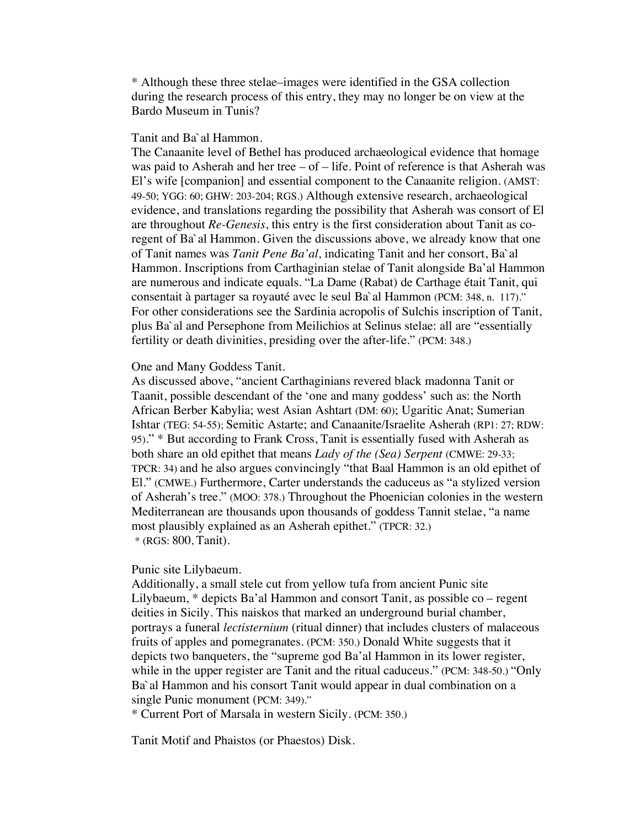\* Although these three stelae–images were identified in the GSA collection during the research process of this entry, they may no longer be on view at the Bardo Museum in Tunis?

# Tanit and Ba`al Hammon.

The Canaanite level of Bethel has produced archaeological evidence that homage was paid to Asherah and her tree – of – life. Point of reference is that Asherah was El's wife [companion] and essential component to the Canaanite religion. (AMST: 49-50; YGG: 60; GHW: 203-204; RGS.) Although extensive research, archaeological evidence, and translations regarding the possibility that Asherah was consort of El are throughout *Re-Genesis*, this entry is the first consideration about Tanit as coregent of Ba`al Hammon. Given the discussions above, we already know that one of Tanit names was *Tanit Pene Ba'al,* indicating Tanit and her consort, Ba`al Hammon. Inscriptions from Carthaginian stelae of Tanit alongside Ba'al Hammon are numerous and indicate equals. "La Dame (Rabat) de Carthage était Tanit, qui consentait à partager sa royauté avec le seul Ba`al Hammon (PCM: 348, n. 117)." For other considerations see the Sardinia acropolis of Sulchis inscription of Tanit, plus Ba`al and Persephone from Meilichios at Selinus stelae: all are "essentially fertility or death divinities, presiding over the after-life." (PCM: 348.)

### One and Many Goddess Tanit.

As discussed above, "ancient Carthaginians revered black madonna Tanit or Taanit, possible descendant of the 'one and many goddess' such as: the North African Berber Kabylia; west Asian Ashtart (DM: 60); Ugaritic Anat; Sumerian Ishtar (TEG: 54-55); Semitic Astarte; and Canaanite/Israelite Asherah (RP1: 27; RDW: 95)." \* But according to Frank Cross, Tanit is essentially fused with Asherah as both share an old epithet that means *Lady of the (Sea) Serpent* (CMWE: 29-33; TPCR: 34) and he also argues convincingly "that Baal Hammon is an old epithet of El." (CMWE.) Furthermore, Carter understands the caduceus as "a stylized version of Asherah's tree." (MOO: 378.) Throughout the Phoenician colonies in the western Mediterranean are thousands upon thousands of goddess Tannit stelae, "a name most plausibly explained as an Asherah epithet." (TPCR: 32.) \* (RGS: 800, Tanit).

# Punic site Lilybaeum.

Additionally, a small stele cut from yellow tufa from ancient Punic site Lilybaeum, \* depicts Ba'al Hammon and consort Tanit, as possible co – regent deities in Sicily. This naiskos that marked an underground burial chamber, portrays a funeral *lectisternium* (ritual dinner) that includes clusters of malaceous fruits of apples and pomegranates. (PCM: 350.) Donald White suggests that it depicts two banqueters, the "supreme god Ba'al Hammon in its lower register, while in the upper register are Tanit and the ritual caduceus." (PCM: 348-50.) "Only Ba`al Hammon and his consort Tanit would appear in dual combination on a single Punic monument (PCM: 349)."

\* Current Port of Marsala in western Sicily. (PCM: 350.)

Tanit Motif and Phaistos (or Phaestos) Disk.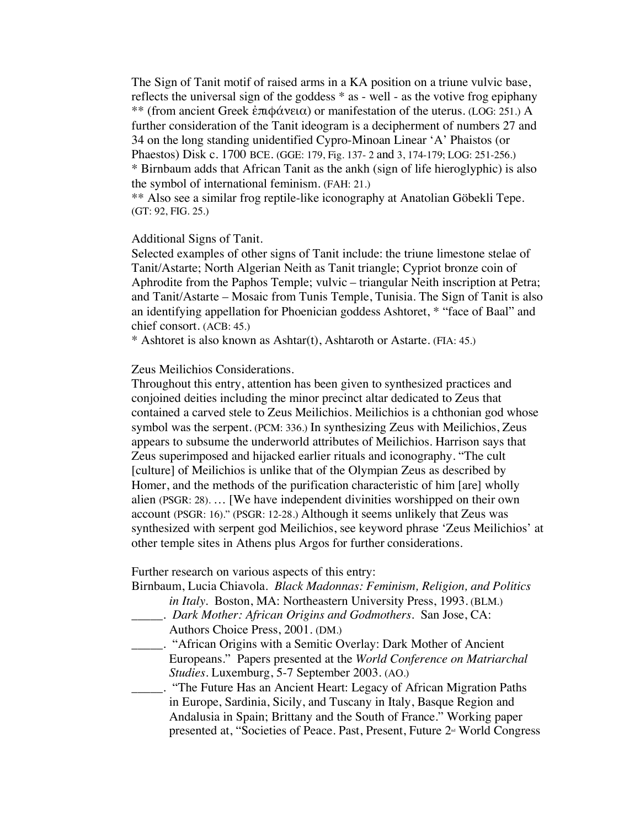The Sign of Tanit motif of raised arms in a KA position on a triune vulvic base, reflects the universal sign of the goddess \* as - well - as the votive frog epiphany \*\* (from ancient Greek ἐπιφάνεια) or manifestation of the uterus. (LOG: 251.) A further consideration of the Tanit ideogram is a decipherment of numbers 27 and 34 on the long standing unidentified Cypro-Minoan Linear 'A' Phaistos (or Phaestos) Disk c. 1700 BCE. (GGE: 179, Fig. 137- 2 and 3, 174-179; LOG: 251-256.) \* Birnbaum adds that African Tanit as the ankh (sign of life hieroglyphic) is also the symbol of international feminism. (FAH: 21.)

\*\* Also see a similar frog reptile-like iconography at Anatolian Göbekli Tepe. (GT: 92, FIG. 25.)

## Additional Signs of Tanit.

Selected examples of other signs of Tanit include: the triune limestone stelae of Tanit/Astarte; North Algerian Neith as Tanit triangle; Cypriot bronze coin of Aphrodite from the Paphos Temple; vulvic – triangular Neith inscription at Petra; and Tanit/Astarte – Mosaic from Tunis Temple, Tunisia. The Sign of Tanit is also an identifying appellation for Phoenician goddess Ashtoret, \* "face of Baal" and chief consort. (ACB: 45.)

\* Ashtoret is also known as Ashtar(t), Ashtaroth or Astarte. (FIA: 45.)

Zeus Meilichios Considerations.

Throughout this entry, attention has been given to synthesized practices and conjoined deities including the minor precinct altar dedicated to Zeus that contained a carved stele to Zeus Meilichios. Meilichios is a chthonian god whose symbol was the serpent. (PCM: 336.) In synthesizing Zeus with Meilichios, Zeus appears to subsume the underworld attributes of Meilichios. Harrison says that Zeus superimposed and hijacked earlier rituals and iconography. "The cult [culture] of Meilichios is unlike that of the Olympian Zeus as described by Homer, and the methods of the purification characteristic of him [are] wholly alien (PSGR: 28). … [We have independent divinities worshipped on their own account (PSGR: 16)." (PSGR: 12-28.) Although it seems unlikely that Zeus was synthesized with serpent god Meilichios, see keyword phrase 'Zeus Meilichios' at other temple sites in Athens plus Argos for further considerations.

Further research on various aspects of this entry:

| Birnbaum, Lucia Chiavola. Black Madonnas: Feminism, Religion, and Politics |  |
|----------------------------------------------------------------------------|--|
| <i>in Italy.</i> Boston, MA: Northeastern University Press, 1993. (BLM.)   |  |

- \_\_\_\_\_. *Dark Mother: African Origins and Godmothers*. San Jose, CA: Authors Choice Press, 2001. (DM.)
- \_\_\_\_\_. "African Origins with a Semitic Overlay: Dark Mother of Ancient Europeans." Papers presented at the *World Conference on Matriarchal Studies*. Luxemburg, 5-7 September 2003. (AO.)
- \_\_\_\_\_. "The Future Has an Ancient Heart: Legacy of African Migration Paths in Europe, Sardinia, Sicily, and Tuscany in Italy, Basque Region and Andalusia in Spain; Brittany and the South of France." Working paper presented at, "Societies of Peace. Past, Present, Future  $2<sup>d</sup>$  World Congress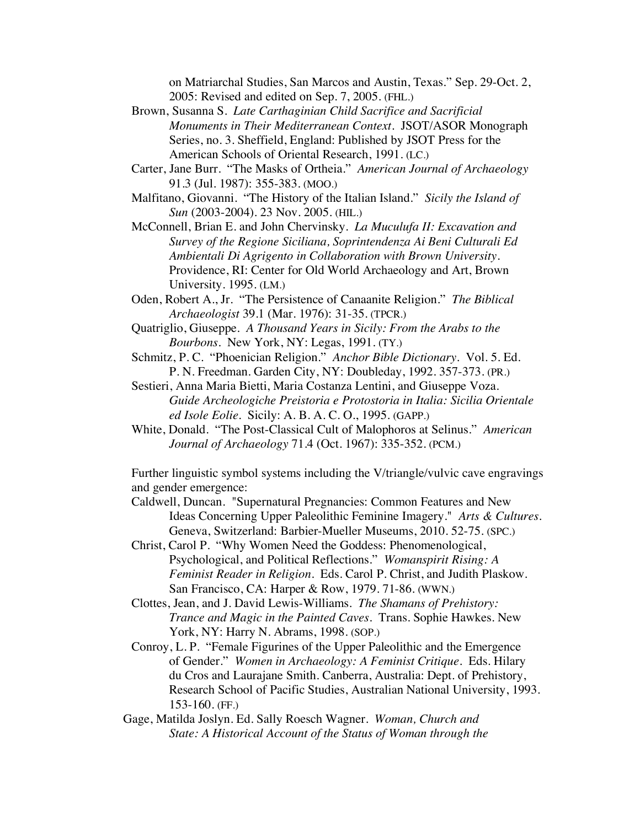on Matriarchal Studies, San Marcos and Austin, Texas." Sep. 29-Oct. 2, 2005: Revised and edited on Sep. 7, 2005. (FHL.)

- Brown, Susanna S. *Late Carthaginian Child Sacrifice and Sacrificial Monuments in Their Mediterranean Context*. JSOT/ASOR Monograph Series, no. 3. Sheffield, England: Published by JSOT Press for the American Schools of Oriental Research, 1991. (LC.)
- Carter, Jane Burr. "The Masks of Ortheia." *American Journal of Archaeology* 91.3 (Jul. 1987): 355-383. (MOO.)
- Malfitano, Giovanni. "The History of the Italian Island." *Sicily the Island of Sun* (2003-2004). 23 Nov. 2005. (HIL.)
- McConnell, Brian E. and John Chervinsky. *La Muculufa II: Excavation and Survey of the Regione Siciliana, Soprintendenza Ai Beni Culturali Ed Ambientali Di Agrigento in Collaboration with Brown University*. Providence, RI: Center for Old World Archaeology and Art, Brown University. 1995. (LM.)
- Oden, Robert A., Jr. "The Persistence of Canaanite Religion." *The Biblical Archaeologist* 39.1 (Mar. 1976): 31-35. (TPCR.)
- Quatriglio, Giuseppe. *A Thousand Years in Sicily: From the Arabs to the Bourbons*. New York, NY: Legas, 1991. (TY.)
- Schmitz, P. C. "Phoenician Religion." *Anchor Bible Dictionary*. Vol. 5. Ed. P. N. Freedman. Garden City, NY: Doubleday, 1992. 357-373. (PR.)
- Sestieri, Anna Maria Bietti, Maria Costanza Lentini, and Giuseppe Voza. *Guide Archeologiche Preistoria e Protostoria in Italia: Sicilia Orientale ed Isole Eolie.* Sicily: A. B. A. C. O., 1995. (GAPP.)
- White, Donald. "The Post-Classical Cult of Malophoros at Selinus." *American Journal of Archaeology* 71.4 (Oct. 1967): 335-352. (PCM.)

Further linguistic symbol systems including the V/triangle/vulvic cave engravings and gender emergence:

- Caldwell, Duncan. "Supernatural Pregnancies: Common Features and New Ideas Concerning Upper Paleolithic Feminine Imagery." *Arts & Cultures.*  Geneva, Switzerland: Barbier-Mueller Museums, 2010. 52-75. (SPC.)
- Christ, Carol P. "Why Women Need the Goddess: Phenomenological, Psychological, and Political Reflections." *Womanspirit Rising: A Feminist Reader in Religion*. Eds. Carol P. Christ, and Judith Plaskow. San Francisco, CA: Harper & Row, 1979. 71-86. (WWN.)
- Clottes, Jean, and J. David Lewis-Williams. *The Shamans of Prehistory: Trance and Magic in the Painted Caves.* Trans. Sophie Hawkes. New York, NY: Harry N. Abrams, 1998. (SOP.)
- Conroy, L. P. "Female Figurines of the Upper Paleolithic and the Emergence of Gender." *Women in Archaeology: A Feminist Critique*. Eds. Hilary du Cros and Laurajane Smith. Canberra, Australia: Dept. of Prehistory, Research School of Pacific Studies, Australian National University, 1993. 153-160. (FF.)
- Gage, Matilda Joslyn. Ed. Sally Roesch Wagner. *Woman, Church and State: A Historical Account of the Status of Woman through the*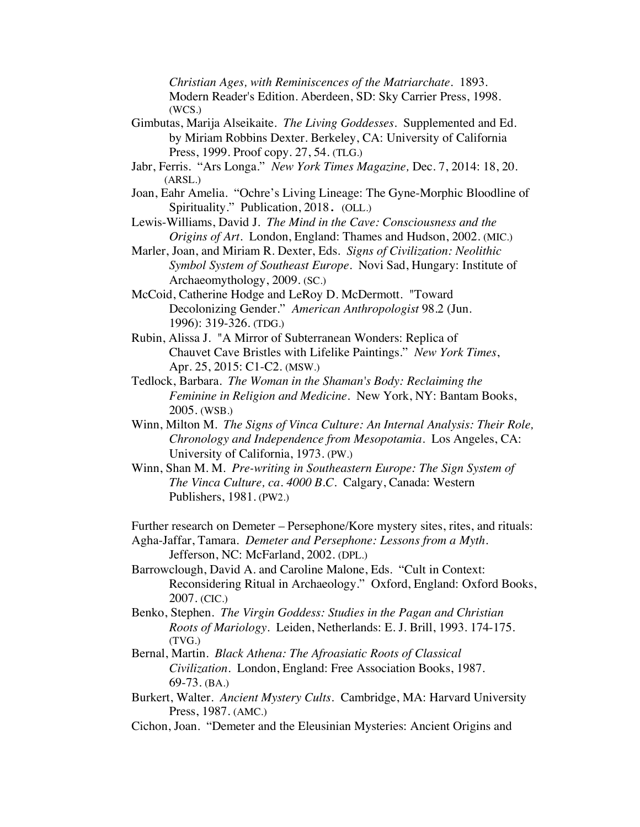*Christian Ages, with Reminiscences of the Matriarchate*. 1893. Modern Reader's Edition. Aberdeen, SD: Sky Carrier Press, 1998. (WCS.)

- Gimbutas, Marija Alseikaite. *The Living Goddesses*. Supplemented and Ed. by Miriam Robbins Dexter. Berkeley, CA: University of California Press, 1999. Proof copy. 27, 54. (TLG.)
- Jabr, Ferris. "Ars Longa." *New York Times Magazine,* Dec. 7, 2014: 18, 20. (ARSL.)
- Joan, Eahr Amelia. "Ochre's Living Lineage: The Gyne-Morphic Bloodline of Spirituality." Publication, 2018. (OLL.)
- Lewis-Williams, David J. *The Mind in the Cave: Consciousness and the Origins of Art.* London, England: Thames and Hudson, 2002. (MIC.)
- Marler, Joan, and Miriam R. Dexter, Eds. *Signs of Civilization: Neolithic Symbol System of Southeast Europe*. Novi Sad, Hungary: Institute of Archaeomythology, 2009. (SC.)
- McCoid, Catherine Hodge and LeRoy D. McDermott. "Toward Decolonizing Gender." *American Anthropologist* 98.2 (Jun. 1996): 319-326. (TDG.)
- Rubin, Alissa J. "A Mirror of Subterranean Wonders: Replica of Chauvet Cave Bristles with Lifelike Paintings." *New York Times*, Apr. 25, 2015: C1-C2. (MSW.)
- Tedlock, Barbara. *The Woman in the Shaman's Body: Reclaiming the Feminine in Religion and Medicine*. New York, NY: Bantam Books, 2005. (WSB.)
- Winn, Milton M. *The Signs of Vinca Culture: An Internal Analysis: Their Role, Chronology and Independence from Mesopotamia*. Los Angeles, CA: University of California, 1973. (PW.)
- Winn, Shan M. M. *Pre-writing in Southeastern Europe: The Sign System of The Vinca Culture, ca. 4000 B.C.* Calgary, Canada: Western Publishers, 1981. (PW2.)
- Further research on Demeter Persephone/Kore mystery sites, rites, and rituals: Agha-Jaffar, Tamara. *Demeter and Persephone: Lessons from a Myth*. Jefferson, NC: McFarland, 2002. (DPL.)
- Barrowclough, David A. and Caroline Malone, Eds. "Cult in Context: Reconsidering Ritual in Archaeology." Oxford, England: Oxford Books, 2007. (CIC.)
- Benko, Stephen. *The Virgin Goddess: Studies in the Pagan and Christian Roots of Mariology*. Leiden, Netherlands: E. J. Brill, 1993. 174-175. (TVG.)
- Bernal, Martin. *Black Athena: The Afroasiatic Roots of Classical Civilization*. London, England: Free Association Books, 1987. 69-73. (BA.)
- Burkert, Walter. *Ancient Mystery Cults.* Cambridge, MA: Harvard University Press, 1987. (AMC.)
- Cichon, Joan. "Demeter and the Eleusinian Mysteries: Ancient Origins and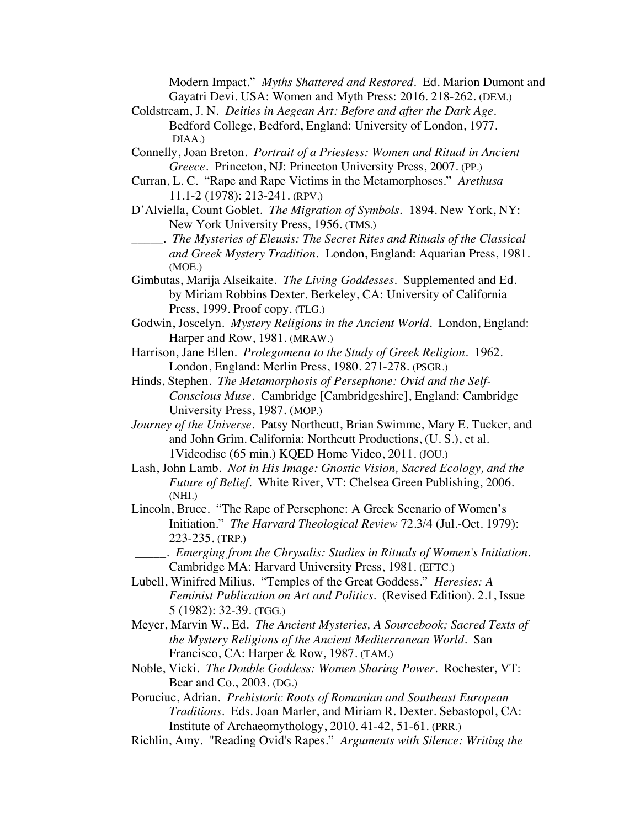Modern Impact." *Myths Shattered and Restored*. Ed. Marion Dumont and Gayatri Devi. USA: Women and Myth Press: 2016. 218-262. (DEM.)

- Coldstream, J. N. *Deities in Aegean Art: Before and after the Dark Age*. Bedford College, Bedford, England: University of London, 1977. DIAA.)
- Connelly, Joan Breton. *Portrait of a Priestess: Women and Ritual in Ancient Greece*. Princeton, NJ: Princeton University Press, 2007. (PP.)
- Curran, L. C. "Rape and Rape Victims in the Metamorphoses." *Arethusa* 11.1-2 (1978): 213-241. (RPV.)
- D'Alviella, Count Goblet. *The Migration of Symbols.* 1894. New York, NY: New York University Press, 1956. (TMS.)
- \_\_\_\_\_. *The Mysteries of Eleusis: The Secret Rites and Rituals of the Classical and Greek Mystery Tradition.* London, England: Aquarian Press, 1981. (MOE.)
- Gimbutas, Marija Alseikaite. *The Living Goddesses*. Supplemented and Ed. by Miriam Robbins Dexter. Berkeley, CA: University of California Press, 1999. Proof copy. (TLG.)
- Godwin, Joscelyn. *Mystery Religions in the Ancient World*. London, England: Harper and Row, 1981. (MRAW.)
- Harrison, Jane Ellen. *Prolegomena to the Study of Greek Religion*. 1962. London, England: Merlin Press, 1980. 271-278. (PSGR.)
- Hinds, Stephen. *The Metamorphosis of Persephone: Ovid and the Self-Conscious Muse*. Cambridge [Cambridgeshire], England: Cambridge University Press, 1987. (MOP.)
- *Journey of the Universe*. Patsy Northcutt, Brian Swimme, Mary E. Tucker, and and John Grim. California: Northcutt Productions, (U. S.), et al. 1Videodisc (65 min.) KQED Home Video, 2011. (JOU.)
- Lash, John Lamb. *Not in His Image: Gnostic Vision, Sacred Ecology, and the Future of Belief.* White River, VT: Chelsea Green Publishing, 2006. (NHI.)
- Lincoln, Bruce. "The Rape of Persephone: A Greek Scenario of Women's Initiation." *The Harvard Theological Review* 72.3/4 (Jul.-Oct. 1979): 223-235. (TRP.)
- \_\_\_\_\_. *Emerging from the Chrysalis: Studies in Rituals of Women's Initiation.* Cambridge MA: Harvard University Press, 1981. (EFTC.)
- Lubell, Winifred Milius. "Temples of the Great Goddess." *Heresies: A Feminist Publication on Art and Politics.* (Revised Edition). 2.1, Issue 5 (1982): 32-39. (TGG.)
- Meyer, Marvin W., Ed. *The Ancient Mysteries, A Sourcebook; Sacred Texts of the Mystery Religions of the Ancient Mediterranean World*. San Francisco, CA: Harper & Row, 1987. (TAM.)
- Noble, Vicki. *The Double Goddess: Women Sharing Power*. Rochester, VT: Bear and Co., 2003. (DG.)
- Poruciuc, Adrian. *Prehistoric Roots of Romanian and Southeast European Traditions*. Eds. Joan Marler, and Miriam R. Dexter. Sebastopol, CA: Institute of Archaeomythology, 2010. 41-42, 51-61. (PRR.)
- Richlin, Amy. "Reading Ovid's Rapes." *Arguments with Silence: Writing the*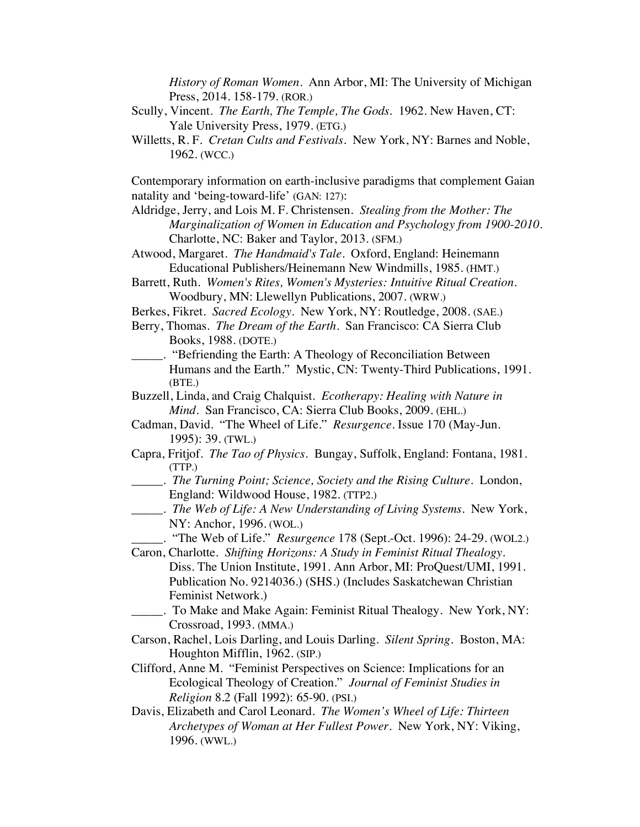*History of Roman Women*. Ann Arbor, MI: The University of Michigan Press, 2014. 158-179. (ROR.)

- Scully, Vincent. *The Earth, The Temple, The Gods*. 1962. New Haven, CT: Yale University Press, 1979. (ETG.)
- Willetts, R. F. *Cretan Cults and Festivals*. New York, NY: Barnes and Noble, 1962. (WCC.)

Contemporary information on earth-inclusive paradigms that complement Gaian natality and 'being-toward-life' (GAN: 127):

- Aldridge, Jerry, and Lois M. F. Christensen. *Stealing from the Mother: The Marginalization of Women in Education and Psychology from 1900-2010*. Charlotte, NC: Baker and Taylor, 2013. (SFM.)
- Atwood, Margaret. *The Handmaid's Tale*. Oxford, England: Heinemann Educational Publishers/Heinemann New Windmills, 1985. (HMT.)
- Barrett, Ruth. *Women's Rites, Women's Mysteries: Intuitive Ritual Creation*. Woodbury, MN: Llewellyn Publications, 2007. (WRW.)
- Berkes, Fikret. *Sacred Ecology*. New York, NY: Routledge, 2008. (SAE.)
- Berry, Thomas. *The Dream of the Earth*. San Francisco: CA Sierra Club Books, 1988. (DOTE.)
	- \_\_\_\_\_. "Befriending the Earth: A Theology of Reconciliation Between Humans and the Earth." Mystic, CN: Twenty-Third Publications, 1991. (BTE.)
- Buzzell, Linda, and Craig Chalquist. *Ecotherapy: Healing with Nature in Mind.* San Francisco, CA: Sierra Club Books, 2009. (EHL.)
- Cadman, David. "The Wheel of Life." *Resurgence*. Issue 170 (May-Jun. 1995): 39. (TWL.)
- Capra, Fritjof. *The Tao of Physics*. Bungay, Suffolk, England: Fontana, 1981. (TTP.)
- \_\_\_\_\_. *The Turning Point; Science, Society and the Rising Culture*. London, England: Wildwood House, 1982. (TTP2.)
- \_\_\_\_\_. *The Web of Life: A New Understanding of Living Systems*. New York, NY: Anchor, 1996. (WOL.)
	- \_\_\_\_\_. "The Web of Life." *Resurgence* 178 (Sept.-Oct. 1996): 24-29. (WOL2.)
- Caron, Charlotte. *Shifting Horizons: A Study in Feminist Ritual Thealogy*. Diss. The Union Institute, 1991. Ann Arbor, MI: ProQuest/UMI, 1991. Publication No. 9214036.) (SHS.) (Includes Saskatchewan Christian Feminist Network.)
- \_\_\_\_\_. To Make and Make Again: Feminist Ritual Thealogy. New York, NY: Crossroad, 1993. (MMA.)
- Carson, Rachel, Lois Darling, and Louis Darling. *Silent Spring.* Boston, MA: Houghton Mifflin, 1962. (SIP.)
- Clifford, Anne M. "Feminist Perspectives on Science: Implications for an Ecological Theology of Creation." *Journal of Feminist Studies in Religion* 8.2 (Fall 1992): 65-90. (PSI.)
- Davis, Elizabeth and Carol Leonard. *The Women's Wheel of Life: Thirteen Archetypes of Woman at Her Fullest Power.* New York, NY: Viking, 1996. (WWL.)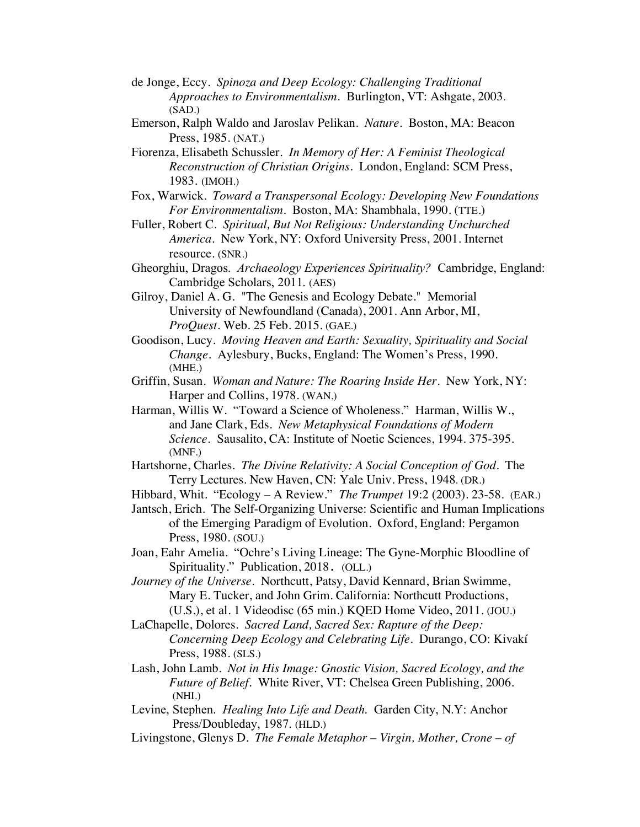- de Jonge, Eccy. *Spinoza and Deep Ecology: Challenging Traditional Approaches to Environmentalism.* Burlington, VT: Ashgate, 2003. (SAD.)
- Emerson, Ralph Waldo and Jaroslav Pelikan. *Nature*. Boston, MA: Beacon Press, 1985. (NAT.)
- Fiorenza, Elisabeth Schussler. *In Memory of Her: A Feminist Theological Reconstruction of Christian Origins*. London, England: SCM Press, 1983. (IMOH.)
- Fox, Warwick. *Toward a Transpersonal Ecology: Developing New Foundations For Environmentalism*. Boston, MA: Shambhala, 1990. (TTE.)
- Fuller, Robert C. *Spiritual, But Not Religious: Understanding Unchurched America*. New York, NY: Oxford University Press, 2001. Internet resource. (SNR.)
- Gheorghiu, Dragos. *Archaeology Experiences Spirituality?* Cambridge, England: Cambridge Scholars, 2011. (AES)
- Gilroy, Daniel A. G. "The Genesis and Ecology Debate." Memorial University of Newfoundland (Canada), 2001. Ann Arbor, MI, *ProQuest.* Web. 25 Feb. 2015. (GAE.)
- Goodison, Lucy. *Moving Heaven and Earth: Sexuality, Spirituality and Social Change*. Aylesbury, Bucks, England: The Women's Press, 1990. (MHE.)
- Griffin, Susan. *Woman and Nature: The Roaring Inside Her*. New York, NY: Harper and Collins, 1978. (WAN.)
- Harman, Willis W. "Toward a Science of Wholeness." Harman, Willis W., and Jane Clark, Eds. *New Metaphysical Foundations of Modern Science.* Sausalito, CA: Institute of Noetic Sciences, 1994. 375-395. (MNF.)
- Hartshorne, Charles. *The Divine Relativity: A Social Conception of God*. The Terry Lectures. New Haven, CN: Yale Univ. Press, 1948. (DR.)
- Hibbard, Whit. "Ecology A Review." *The Trumpet* 19:2 (2003). 23-58. (EAR.)
- Jantsch, Erich. The Self-Organizing Universe: Scientific and Human Implications of the Emerging Paradigm of Evolution. Oxford, England: Pergamon Press, 1980. (SOU.)
- Joan, Eahr Amelia. "Ochre's Living Lineage: The Gyne-Morphic Bloodline of Spirituality." Publication, 2018. (OLL.)
- *Journey of the Universe*. Northcutt, Patsy, David Kennard, Brian Swimme, Mary E. Tucker, and John Grim. California: Northcutt Productions, (U.S.), et al. 1 Videodisc (65 min.) KQED Home Video, 2011. (JOU.)
- LaChapelle, Dolores. *Sacred Land, Sacred Sex: Rapture of the Deep: Concerning Deep Ecology and Celebrating Life*. Durango, CO: Kivakí Press, 1988. (SLS.)
- Lash, John Lamb. *Not in His Image: Gnostic Vision, Sacred Ecology, and the Future of Belief.* White River, VT: Chelsea Green Publishing, 2006. (NHI.)
- Levine, Stephen. *Healing Into Life and Death*. Garden City, N.Y: Anchor Press/Doubleday, 1987. (HLD.)
- Livingstone, Glenys D. *The Female Metaphor Virgin, Mother, Crone of*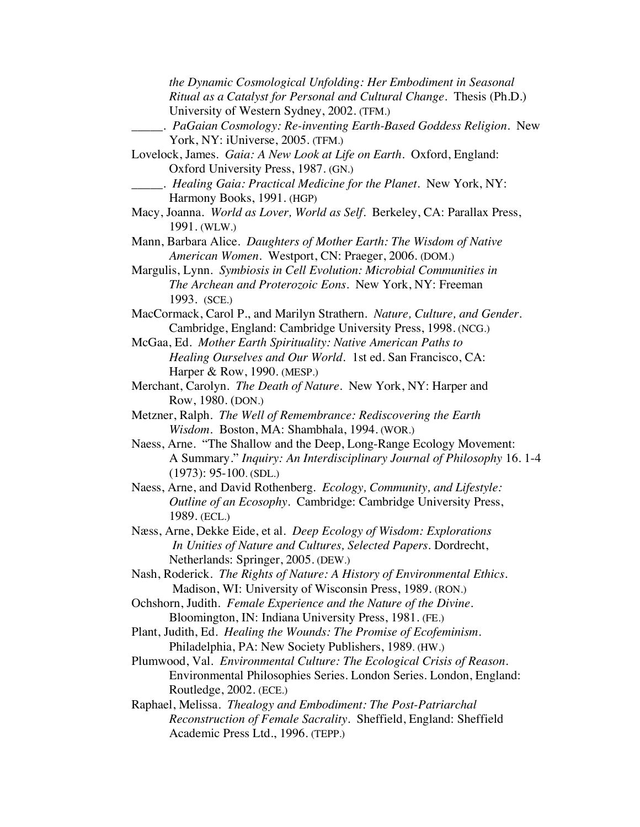*the Dynamic Cosmological Unfolding: Her Embodiment in Seasonal Ritual as a Catalyst for Personal and Cultural Change*. Thesis (Ph.D.) University of Western Sydney, 2002. (TFM.) \_\_\_\_\_. *PaGaian Cosmology: Re-inventing Earth-Based Goddess Religion.* New York, NY: iUniverse, 2005. (TFM.) Lovelock, James. *Gaia: A New Look at Life on Earth*. Oxford, England: Oxford University Press, 1987. (GN.) \_\_\_\_\_. *Healing Gaia: Practical Medicine for the Planet*. New York, NY: Harmony Books, 1991. (HGP) Macy, Joanna. *World as Lover, World as Self*. Berkeley, CA: Parallax Press, 1991. (WLW.) Mann, Barbara Alice. *Daughters of Mother Earth: The Wisdom of Native American Women.* Westport, CN: Praeger, 2006. (DOM.) Margulis, Lynn. *Symbiosis in Cell Evolution: Microbial Communities in The Archean and Proterozoic Eons*. New York, NY: Freeman 1993. (SCE.) MacCormack, Carol P., and Marilyn Strathern. *Nature, Culture, and Gender*. Cambridge, England: Cambridge University Press, 1998. (NCG.) McGaa, Ed. *Mother Earth Spirituality: Native American Paths to Healing Ourselves and Our World.* 1st ed. San Francisco, CA: Harper & Row, 1990. (MESP.) Merchant, Carolyn. *The Death of Nature.* New York, NY: Harper and Row, 1980. (DON.) Metzner, Ralph. *The Well of Remembrance: Rediscovering the Earth Wisdom.* Boston, MA: Shambhala, 1994. (WOR.) Naess, Arne. "The Shallow and the Deep, Long-Range Ecology Movement: A Summary." *Inquiry: An Interdisciplinary Journal of Philosophy* 16. 1-4 (1973): 95-100. (SDL.) Naess, Arne, and David Rothenberg*. Ecology, Community, and Lifestyle: Outline of an Ecosophy*. Cambridge: Cambridge University Press, 1989. (ECL.) Næss, Arne, Dekke Eide, et al. *Deep Ecology of Wisdom: Explorations In Unities of Nature and Cultures, Selected Papers.* Dordrecht, Netherlands: Springer, 2005. (DEW.) Nash, Roderick. *The Rights of Nature: A History of Environmental Ethics*. Madison, WI: University of Wisconsin Press, 1989. (RON.) Ochshorn, Judith. *Female Experience and the Nature of the Divine*. Bloomington, IN: Indiana University Press, 1981. (FE.)

- Plant, Judith, Ed. *Healing the Wounds: The Promise of Ecofeminism*. Philadelphia, PA: New Society Publishers, 1989. (HW.)
- Plumwood, Val. *Environmental Culture: The Ecological Crisis of Reason*. Environmental Philosophies Series. London Series. London, England: Routledge, 2002. (ECE.)

Raphael, Melissa. *Thealogy and Embodiment: The Post-Patriarchal Reconstruction of Female Sacrality*. Sheffield, England: Sheffield Academic Press Ltd., 1996. (TEPP.)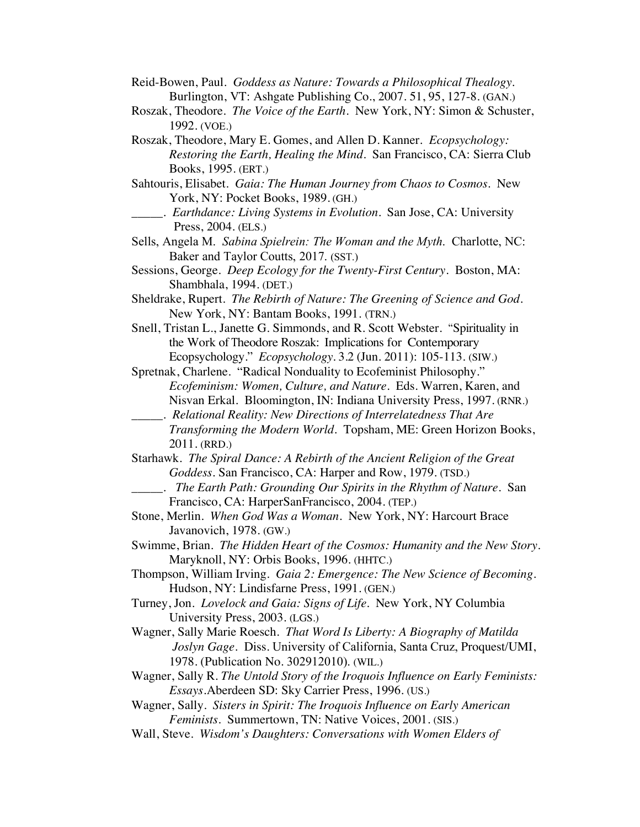- Reid-Bowen, Paul. *Goddess as Nature: Towards a Philosophical Thealogy.* Burlington, VT: Ashgate Publishing Co., 2007. 51, 95, 127-8. (GAN.)
- Roszak, Theodore. *The Voice of the Earth*. New York, NY: Simon & Schuster, 1992. (VOE.)
- Roszak, Theodore, Mary E. Gomes, and Allen D. Kanner. *Ecopsychology: Restoring the Earth, Healing the Mind*. San Francisco, CA: Sierra Club Books, 1995. (ERT.)
- Sahtouris, Elisabet. *Gaia: The Human Journey from Chaos to Cosmos*. New York, NY: Pocket Books, 1989. (GH.)
	- \_\_\_\_\_. *Earthdance: Living Systems in Evolution*. San Jose, CA: University Press, 2004. (ELS.)
- Sells, Angela M. *Sabina Spielrein: The Woman and the Myth*. Charlotte, NC: Baker and Taylor Coutts, 2017. (SST.)
- Sessions, George. *Deep Ecology for the Twenty-First Century*. Boston, MA: Shambhala, 1994. (DET.)
- Sheldrake, Rupert. *The Rebirth of Nature: The Greening of Science and God*. New York, NY: Bantam Books, 1991. (TRN.)
- Snell, Tristan L., Janette G. Simmonds, and R. Scott Webster. "Spirituality in the Work of Theodore Roszak: Implications for Contemporary Ecopsychology." *Ecopsychology*. 3.2 (Jun. 2011): 105-113. (SIW.)
- Spretnak, Charlene. "Radical Nonduality to Ecofeminist Philosophy." *Ecofeminism: Women, Culture, and Nature*. Eds. Warren, Karen, and Nisvan Erkal. Bloomington, IN: Indiana University Press, 1997. (RNR.) \_\_\_\_\_. *Relational Reality: New Directions of Interrelatedness That Are*
- *Transforming the Modern World*. Topsham, ME: Green Horizon Books, 2011. (RRD.)
- Starhawk. *The Spiral Dance: A Rebirth of the Ancient Religion of the Great Goddess.* San Francisco, CA: Harper and Row, 1979. (TSD.)
	- \_\_\_\_\_. *The Earth Path: Grounding Our Spirits in the Rhythm of Nature*. San Francisco, CA: HarperSanFrancisco, 2004. (TEP.)
- Stone, Merlin. *When God Was a Woman*. New York, NY: Harcourt Brace Javanovich, 1978. (GW.)
- Swimme, Brian. *The Hidden Heart of the Cosmos: Humanity and the New Story*. Maryknoll, NY: Orbis Books, 1996. (HHTC.)
- Thompson, William Irving. *Gaia 2: Emergence: The New Science of Becoming.* Hudson, NY: Lindisfarne Press, 1991. (GEN.)
- Turney, Jon. *Lovelock and Gaia: Signs of Life.* New York, NY Columbia University Press, 2003. (LGS.)
- Wagner, Sally Marie Roesch. *That Word Is Liberty: A Biography of Matilda Joslyn Gage*. Diss. University of California, Santa Cruz, Proquest/UMI, 1978. (Publication No. 302912010). (WIL.)
- Wagner, Sally R. *The Untold Story of the Iroquois Influence on Early Feminists: Essays*.Aberdeen SD: Sky Carrier Press, 1996. (US.)
- Wagner, Sally. *Sisters in Spirit: The Iroquois Influence on Early American Feminists*. Summertown, TN: Native Voices, 2001. (SIS.)
- Wall, Steve. *Wisdom's Daughters: Conversations with Women Elders of*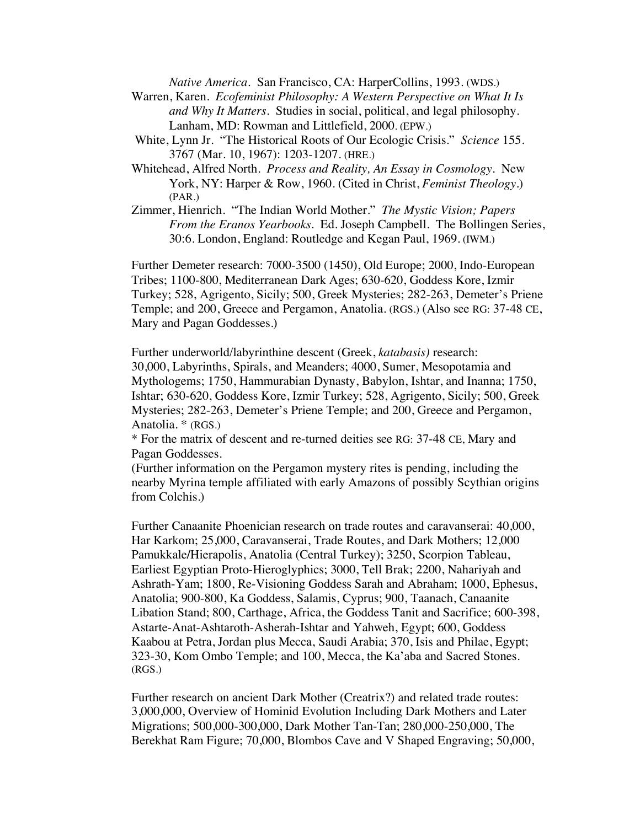*Native America.* San Francisco, CA: HarperCollins, 1993. (WDS.)

- Warren, Karen. *Ecofeminist Philosophy: A Western Perspective on What It Is and Why It Matters*. Studies in social, political, and legal philosophy. Lanham, MD: Rowman and Littlefield, 2000. (EPW.)
- White, Lynn Jr. "The Historical Roots of Our Ecologic Crisis." *Science* 155. 3767 (Mar. 10, 1967): 1203-1207. (HRE.)
- Whitehead, Alfred North. *Process and Reality, An Essay in Cosmology.* New York, NY: Harper & Row, 1960. (Cited in Christ, *Feminist Theology*.) (PAR.)
- Zimmer, Hienrich. "The Indian World Mother." *The Mystic Vision; Papers From the Eranos Yearbooks.* Ed. Joseph Campbell. The Bollingen Series, 30:6. London, England: Routledge and Kegan Paul, 1969. (IWM.)

Further Demeter research: 7000-3500 (1450), Old Europe; 2000, Indo-European Tribes; 1100-800, Mediterranean Dark Ages; 630-620, Goddess Kore, Izmir Turkey; 528, Agrigento, Sicily; 500, Greek Mysteries; 282-263, Demeter's Priene Temple; and 200, Greece and Pergamon, Anatolia. (RGS.) (Also see RG: 37-48 CE, Mary and Pagan Goddesses.)

Further underworld/labyrinthine descent (Greek, *katabasis)* research: 30,000, Labyrinths, Spirals, and Meanders; 4000, Sumer, Mesopotamia and Mythologems; 1750, Hammurabian Dynasty, Babylon, Ishtar, and Inanna; 1750, Ishtar; 630-620, Goddess Kore, Izmir Turkey; 528, Agrigento, Sicily; 500, Greek Mysteries; 282-263, Demeter's Priene Temple; and 200, Greece and Pergamon, Anatolia. \* (RGS.)

\* For the matrix of descent and re-turned deities see RG: 37-48 CE, Mary and Pagan Goddesses.

(Further information on the Pergamon mystery rites is pending, including the nearby Myrina temple affiliated with early Amazons of possibly Scythian origins from Colchis.)

Further Canaanite Phoenician research on trade routes and caravanserai: 40,000, Har Karkom; 25,000, Caravanserai, Trade Routes, and Dark Mothers; 12,000 Pamukkale*/*Hierapolis, Anatolia (Central Turkey); 3250, Scorpion Tableau, Earliest Egyptian Proto-Hieroglyphics; 3000, Tell Brak; 2200, Nahariyah and Ashrath-Yam; 1800, Re-Visioning Goddess Sarah and Abraham; 1000, Ephesus, Anatolia; 900-800, Ka Goddess, Salamis, Cyprus; 900, Taanach, Canaanite Libation Stand; 800, Carthage, Africa, the Goddess Tanit and Sacrifice; 600-398, Astarte-Anat-Ashtaroth-Asherah-Ishtar and Yahweh, Egypt; 600, Goddess Kaabou at Petra, Jordan plus Mecca, Saudi Arabia; 370, Isis and Philae, Egypt; 323-30, Kom Ombo Temple; and 100, Mecca, the Ka'aba and Sacred Stones. (RGS.)

Further research on ancient Dark Mother (Creatrix?) and related trade routes: 3,000,000, Overview of Hominid Evolution Including Dark Mothers and Later Migrations; 500,000-300,000, Dark Mother Tan-Tan; 280,000-250,000, The Berekhat Ram Figure; 70,000, Blombos Cave and V Shaped Engraving; 50,000,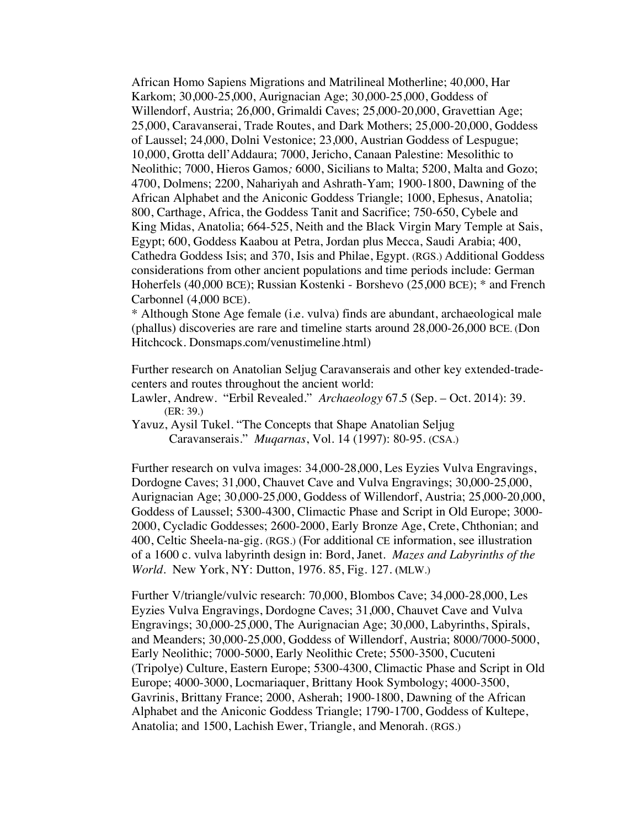African Homo Sapiens Migrations and Matrilineal Motherline; 40,000, Har Karkom; 30,000-25,000, Aurignacian Age; 30,000-25,000, Goddess of Willendorf, Austria; 26,000, Grimaldi Caves; 25,000-20,000, Gravettian Age; 25,000, Caravanserai, Trade Routes, and Dark Mothers; 25,000-20,000, Goddess of Laussel; 24,000, Dolni Vestonice; 23,000, Austrian Goddess of Lespugue; 10,000, Grotta dell'Addaura; 7000, Jericho, Canaan Palestine: Mesolithic to Neolithic; 7000, Hieros Gamos*;* 6000, Sicilians to Malta; 5200, Malta and Gozo; 4700, Dolmens; 2200, Nahariyah and Ashrath-Yam; 1900-1800, Dawning of the African Alphabet and the Aniconic Goddess Triangle; 1000, Ephesus, Anatolia; 800, Carthage, Africa, the Goddess Tanit and Sacrifice; 750-650, Cybele and King Midas, Anatolia; 664-525, Neith and the Black Virgin Mary Temple at Sais, Egypt; 600, Goddess Kaabou at Petra, Jordan plus Mecca, Saudi Arabia; 400, Cathedra Goddess Isis; and 370, Isis and Philae, Egypt. (RGS.) Additional Goddess considerations from other ancient populations and time periods include: German Hoherfels (40,000 BCE); Russian Kostenki - Borshevo (25,000 BCE); \* and French Carbonnel (4,000 BCE).

\* Although Stone Age female (i.e. vulva) finds are abundant, archaeological male (phallus) discoveries are rare and timeline starts around 28,000-26,000 BCE. (Don Hitchcock. Donsmaps.com/venustimeline.html)

Further research on Anatolian Seljug Caravanserais and other key extended-tradecenters and routes throughout the ancient world:

Lawler, Andrew. "Erbil Revealed." *Archaeology* 67.5 (Sep. – Oct. 2014): 39. (ER: 39.)

Yavuz, Aysil Tukel. "The Concepts that Shape Anatolian Seljug Caravanserais." *Muqarnas*, Vol. 14 (1997): 80-95. (CSA.)

Further research on vulva images: 34,000-28,000, Les Eyzies Vulva Engravings, Dordogne Caves; 31,000, Chauvet Cave and Vulva Engravings; 30,000-25,000, Aurignacian Age; 30,000-25,000, Goddess of Willendorf, Austria; 25,000-20,000, Goddess of Laussel; 5300-4300, Climactic Phase and Script in Old Europe; 3000- 2000, Cycladic Goddesses; 2600-2000, Early Bronze Age, Crete, Chthonian; and 400, Celtic Sheela-na-gig. (RGS.) (For additional CE information, see illustration of a 1600 c. vulva labyrinth design in: Bord, Janet. *Mazes and Labyrinths of the World*. New York, NY: Dutton, 1976. 85, Fig. 127. **(**MLW.)

Further V/triangle/vulvic research: 70,000, Blombos Cave; 34,000-28,000, Les Eyzies Vulva Engravings, Dordogne Caves; 31,000, Chauvet Cave and Vulva Engravings; 30,000-25,000, The Aurignacian Age; 30,000, Labyrinths, Spirals, and Meanders; 30,000-25,000, Goddess of Willendorf, Austria; 8000/7000-5000, Early Neolithic; 7000-5000, Early Neolithic Crete; 5500-3500, Cucuteni (Tripolye) Culture, Eastern Europe; 5300-4300, Climactic Phase and Script in Old Europe; 4000-3000, Locmariaquer, Brittany Hook Symbology; 4000-3500, Gavrinis, Brittany France; 2000, Asherah; 1900-1800, Dawning of the African Alphabet and the Aniconic Goddess Triangle; 1790-1700, Goddess of Kultepe, Anatolia; and 1500, Lachish Ewer, Triangle, and Menorah. (RGS.)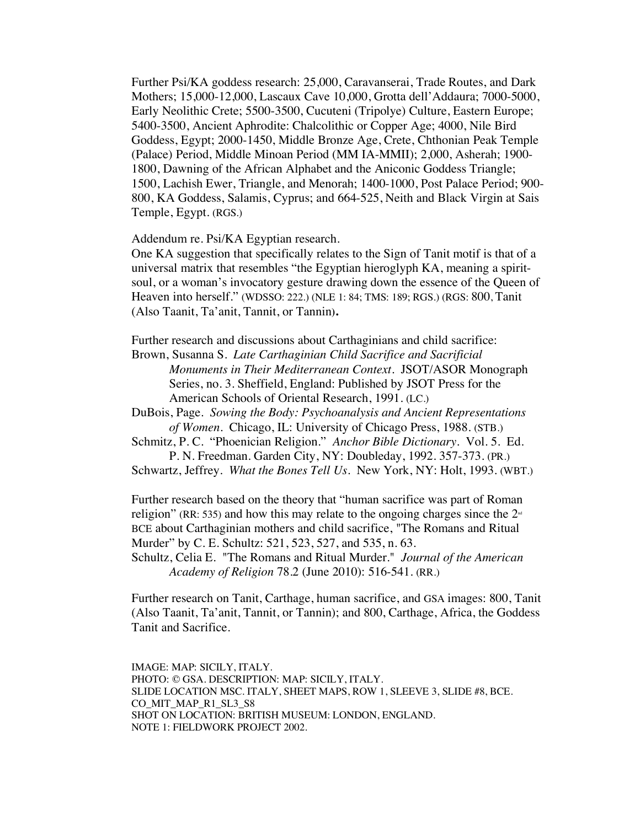Further Psi/KA goddess research: 25,000, Caravanserai, Trade Routes, and Dark Mothers; 15,000-12,000, Lascaux Cave 10,000, Grotta dell'Addaura; 7000-5000, Early Neolithic Crete; 5500-3500, Cucuteni (Tripolye) Culture, Eastern Europe; 5400-3500, Ancient Aphrodite: Chalcolithic or Copper Age; 4000, Nile Bird Goddess, Egypt; 2000-1450, Middle Bronze Age, Crete, Chthonian Peak Temple (Palace) Period, Middle Minoan Period (MM IA-MMII); 2,000, Asherah; 1900- 1800, Dawning of the African Alphabet and the Aniconic Goddess Triangle; 1500, Lachish Ewer, Triangle, and Menorah; 1400-1000, Post Palace Period; 900- 800, KA Goddess, Salamis, Cyprus; and 664-525, Neith and Black Virgin at Sais Temple, Egypt. (RGS.)

Addendum re. Psi/KA Egyptian research.

One KA suggestion that specifically relates to the Sign of Tanit motif is that of a universal matrix that resembles "the Egyptian hieroglyph KA, meaning a spiritsoul, or a woman's invocatory gesture drawing down the essence of the Queen of Heaven into herself." (WDSSO: 222.) (NLE 1: 84; TMS: 189; RGS.) (RGS: 800, Tanit (Also Taanit, Ta'anit, Tannit, or Tannin**).**

Further research and discussions about Carthaginians and child sacrifice:

Brown, Susanna S. *Late Carthaginian Child Sacrifice and Sacrificial Monuments in Their Mediterranean Context*. JSOT/ASOR Monograph Series, no. 3. Sheffield, England: Published by JSOT Press for the American Schools of Oriental Research, 1991. (LC.)

DuBois, Page. *Sowing the Body: Psychoanalysis and Ancient Representations of Women.* Chicago, IL: University of Chicago Press, 1988. (STB.)

Schmitz, P. C. "Phoenician Religion." *Anchor Bible Dictionary*. Vol. 5. Ed. P. N. Freedman. Garden City, NY: Doubleday, 1992. 357-373. (PR.)

Schwartz, Jeffrey. *What the Bones Tell Us*. New York, NY: Holt, 1993. (WBT.)

Further research based on the theory that "human sacrifice was part of Roman religion" (RR: 535) and how this may relate to the ongoing charges since the  $2<sup>nd</sup>$ BCE about Carthaginian mothers and child sacrifice, "The Romans and Ritual Murder" by C. E. Schultz: 521, 523, 527, and 535, n. 63.

Schultz, Celia E. "The Romans and Ritual Murder." *Journal of the American Academy of Religion* 78.2 (June 2010): 516-541. (RR.)

Further research on Tanit, Carthage, human sacrifice, and GSA images: 800, Tanit (Also Taanit, Ta'anit, Tannit, or Tannin); and 800, Carthage, Africa, the Goddess Tanit and Sacrifice.

IMAGE: MAP: SICILY, ITALY. PHOTO: © GSA. DESCRIPTION: MAP: SICILY, ITALY. SLIDE LOCATION MSC. ITALY, SHEET MAPS, ROW 1, SLEEVE 3, SLIDE #8, BCE. CO\_MIT\_MAP\_R1\_SL3\_S8 SHOT ON LOCATION: BRITISH MUSEUM: LONDON, ENGLAND. NOTE 1: FIELDWORK PROJECT 2002.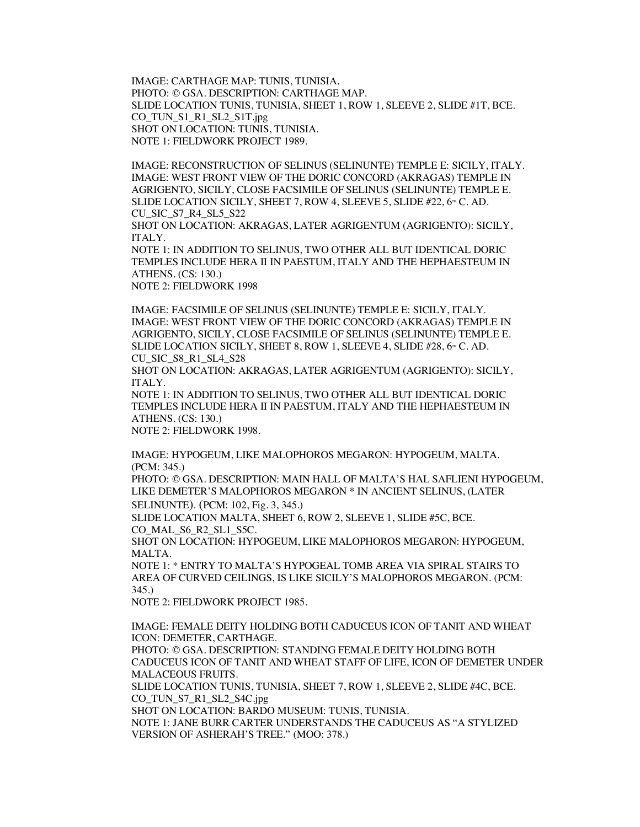IMAGE: CARTHAGE MAP: TUNIS, TUNISIA. PHOTO: © GSA. DESCRIPTION: CARTHAGE MAP. SLIDE LOCATION TUNIS, TUNISIA, SHEET 1, ROW 1, SLEEVE 2, SLIDE #1T, BCE. CO\_TUN\_S1\_R1\_SL2\_S1T.jpg SHOT ON LOCATION: TUNIS, TUNISIA. NOTE 1: FIELDWORK PROJECT 1989.

IMAGE: RECONSTRUCTION OF SELINUS (SELINUNTE) TEMPLE E: SICILY, ITALY. IMAGE: WEST FRONT VIEW OF THE DORIC CONCORD (AKRAGAS) TEMPLE IN AGRIGENTO, SICILY, CLOSE FACSIMILE OF SELINUS (SELINUNTE) TEMPLE E. SLIDE LOCATION SICILY, SHEET 7, ROW 4, SLEEVE 5, SLIDE  $#22, 6#$  C. AD. CU\_SIC\_S7\_R4\_SL5\_S22

SHOT ON LOCATION: AKRAGAS, LATER AGRIGENTUM (AGRIGENTO): SICILY, ITALY.

NOTE 1: IN ADDITION TO SELINUS, TWO OTHER ALL BUT IDENTICAL DORIC TEMPLES INCLUDE HERA II IN PAESTUM, ITALY AND THE HEPHAESTEUM IN ATHENS. (CS: 130.)

NOTE 2: FIELDWORK 1998

IMAGE: FACSIMILE OF SELINUS (SELINUNTE) TEMPLE E: SICILY, ITALY. IMAGE: WEST FRONT VIEW OF THE DORIC CONCORD (AKRAGAS) TEMPLE IN AGRIGENTO, SICILY, CLOSE FACSIMILE OF SELINUS (SELINUNTE) TEMPLE E. SLIDE LOCATION SICILY, SHEET 8, ROW 1, SLEEVE 4, SLIDE #28, 6TH C. AD. CU\_SIC\_S8\_R1\_SL4\_S28

SHOT ON LOCATION: AKRAGAS, LATER AGRIGENTUM (AGRIGENTO): SICILY, ITALY.

NOTE 1: IN ADDITION TO SELINUS, TWO OTHER ALL BUT IDENTICAL DORIC TEMPLES INCLUDE HERA II IN PAESTUM, ITALY AND THE HEPHAESTEUM IN ATHENS. (CS: 130.)

NOTE 2: FIELDWORK 1998.

IMAGE: HYPOGEUM, LIKE MALOPHOROS MEGARON: HYPOGEUM, MALTA. (PCM: 345.)

PHOTO: © GSA. DESCRIPTION: MAIN HALL OF MALTA'S HAL SAFLIENI HYPOGEUM, LIKE DEMETER'S MALOPHOROS MEGARON \* IN ANCIENT SELINUS, (LATER SELINUNTE). (PCM: 102, Fig. 3, 345.)

SLIDE LOCATION MALTA, SHEET 6, ROW 2, SLEEVE 1, SLIDE #5C, BCE. CO\_MAL\_S6\_R2\_SL1\_S5C.

SHOT ON LOCATION: HYPOGEUM, LIKE MALOPHOROS MEGARON: HYPOGEUM, MALTA.

NOTE 1: \* ENTRY TO MALTA'S HYPOGEAL TOMB AREA VIA SPIRAL STAIRS TO AREA OF CURVED CEILINGS, IS LIKE SICILY'S MALOPHOROS MEGARON. (PCM: 345.)

NOTE 2: FIELDWORK PROJECT 1985.

IMAGE: FEMALE DEITY HOLDING BOTH CADUCEUS ICON OF TANIT AND WHEAT ICON: DEMETER, CARTHAGE.

PHOTO: © GSA. DESCRIPTION: STANDING FEMALE DEITY HOLDING BOTH CADUCEUS ICON OF TANIT AND WHEAT STAFF OF LIFE, ICON OF DEMETER UNDER MALACEOUS FRUITS.

SLIDE LOCATION TUNIS, TUNISIA, SHEET 7, ROW 1, SLEEVE 2, SLIDE #4C, BCE. CO\_TUN\_S7\_R1\_SL2\_S4C.jpg

SHOT ON LOCATION: BARDO MUSEUM: TUNIS, TUNISIA.

NOTE 1: JANE BURR CARTER UNDERSTANDS THE CADUCEUS AS "A STYLIZED VERSION OF ASHERAH'S TREE." (MOO: 378.)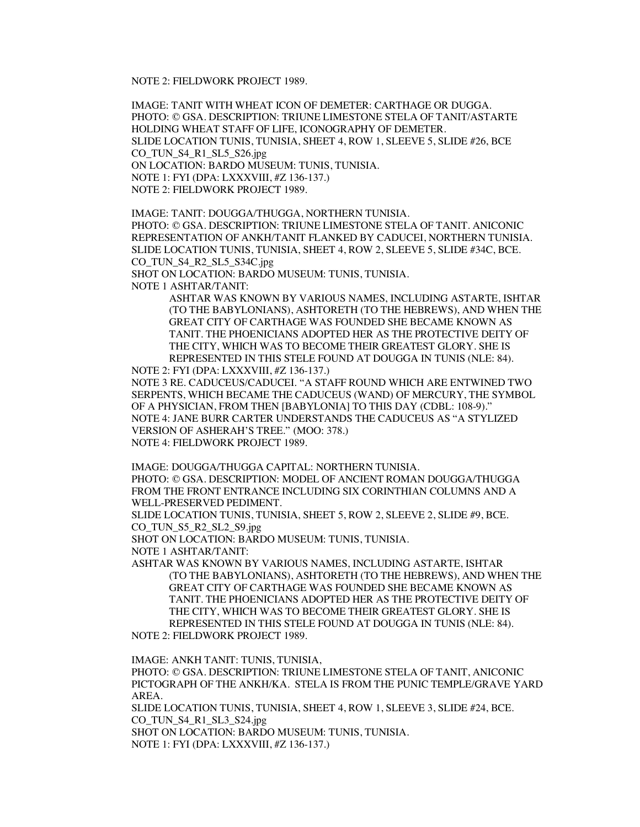NOTE 2: FIELDWORK PROJECT 1989.

IMAGE: TANIT WITH WHEAT ICON OF DEMETER: CARTHAGE OR DUGGA. PHOTO: © GSA. DESCRIPTION: TRIUNE LIMESTONE STELA OF TANIT/ASTARTE HOLDING WHEAT STAFF OF LIFE, ICONOGRAPHY OF DEMETER. SLIDE LOCATION TUNIS, TUNISIA, SHEET 4, ROW 1, SLEEVE 5, SLIDE #26, BCE CO\_TUN\_S4\_R1\_SL5\_S26.jpg ON LOCATION: BARDO MUSEUM: TUNIS, TUNISIA. NOTE 1: FYI (DPA: LXXXVIII, #Z 136-137.) NOTE 2: FIELDWORK PROJECT 1989.

IMAGE: TANIT: DOUGGA/THUGGA, NORTHERN TUNISIA. PHOTO: © GSA. DESCRIPTION: TRIUNE LIMESTONE STELA OF TANIT. ANICONIC REPRESENTATION OF ANKH/TANIT FLANKED BY CADUCEI, NORTHERN TUNISIA. SLIDE LOCATION TUNIS, TUNISIA, SHEET 4, ROW 2, SLEEVE 5, SLIDE #34C, BCE. CO\_TUN\_S4\_R2\_SL5\_S34C.jpg

SHOT ON LOCATION: BARDO MUSEUM: TUNIS, TUNISIA.

NOTE 1 ASHTAR/TANIT:

ASHTAR WAS KNOWN BY VARIOUS NAMES, INCLUDING ASTARTE, ISHTAR (TO THE BABYLONIANS), ASHTORETH (TO THE HEBREWS), AND WHEN THE GREAT CITY OF CARTHAGE WAS FOUNDED SHE BECAME KNOWN AS TANIT. THE PHOENICIANS ADOPTED HER AS THE PROTECTIVE DEITY OF THE CITY, WHICH WAS TO BECOME THEIR GREATEST GLORY. SHE IS REPRESENTED IN THIS STELE FOUND AT DOUGGA IN TUNIS (NLE: 84).

NOTE 2: FYI (DPA: LXXXVIII, #Z 136-137.) NOTE 3 RE. CADUCEUS/CADUCEI. "A STAFF ROUND WHICH ARE ENTWINED TWO SERPENTS, WHICH BECAME THE CADUCEUS (WAND) OF MERCURY, THE SYMBOL OF A PHYSICIAN, FROM THEN [BABYLONIA] TO THIS DAY (CDBL: 108-9)." NOTE 4: JANE BURR CARTER UNDERSTANDS THE CADUCEUS AS "A STYLIZED VERSION OF ASHERAH'S TREE." (MOO: 378.) NOTE 4: FIELDWORK PROJECT 1989.

IMAGE: DOUGGA/THUGGA CAPITAL: NORTHERN TUNISIA.

PHOTO: © GSA. DESCRIPTION: MODEL OF ANCIENT ROMAN DOUGGA/THUGGA FROM THE FRONT ENTRANCE INCLUDING SIX CORINTHIAN COLUMNS AND A WELL-PRESERVED PEDIMENT.

SLIDE LOCATION TUNIS, TUNISIA, SHEET 5, ROW 2, SLEEVE 2, SLIDE #9, BCE. CO\_TUN\_S5\_R2\_SL2\_S9.jpg

SHOT ON LOCATION: BARDO MUSEUM: TUNIS, TUNISIA.

NOTE 1 ASHTAR/TANIT:

ASHTAR WAS KNOWN BY VARIOUS NAMES, INCLUDING ASTARTE, ISHTAR (TO THE BABYLONIANS), ASHTORETH (TO THE HEBREWS), AND WHEN THE GREAT CITY OF CARTHAGE WAS FOUNDED SHE BECAME KNOWN AS TANIT. THE PHOENICIANS ADOPTED HER AS THE PROTECTIVE DEITY OF THE CITY, WHICH WAS TO BECOME THEIR GREATEST GLORY. SHE IS REPRESENTED IN THIS STELE FOUND AT DOUGGA IN TUNIS (NLE: 84).

NOTE 2: FIELDWORK PROJECT 1989.

IMAGE: ANKH TANIT: TUNIS, TUNISIA,

PHOTO: © GSA. DESCRIPTION: TRIUNE LIMESTONE STELA OF TANIT, ANICONIC PICTOGRAPH OF THE ANKH/KA. STELA IS FROM THE PUNIC TEMPLE/GRAVE YARD AREA.

SLIDE LOCATION TUNIS, TUNISIA, SHEET 4, ROW 1, SLEEVE 3, SLIDE #24, BCE. CO\_TUN\_S4\_R1\_SL3\_S24.jpg

SHOT ON LOCATION: BARDO MUSEUM: TUNIS, TUNISIA.

NOTE 1: FYI (DPA: LXXXVIII, #Z 136-137.)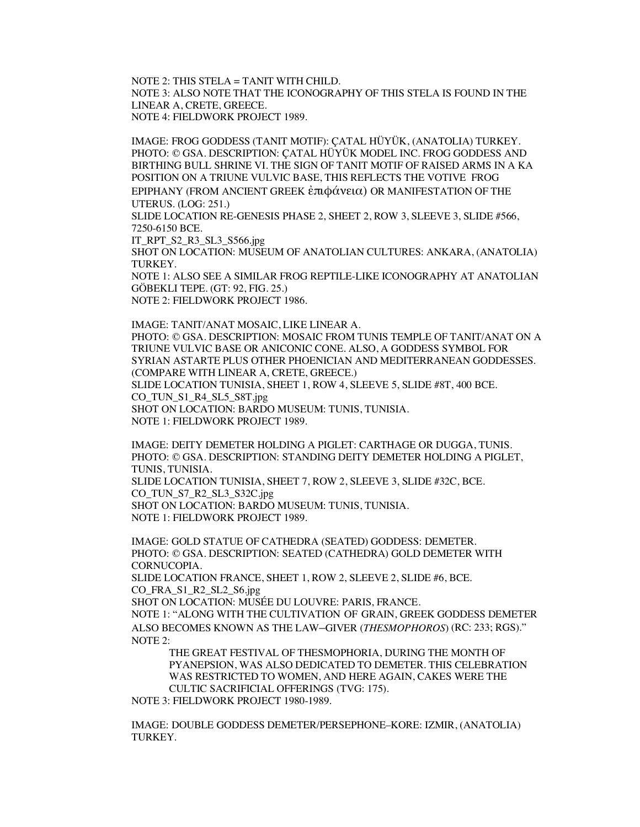NOTE 2: THIS STELA = TANIT WITH CHILD. NOTE 3: ALSO NOTE THAT THE ICONOGRAPHY OF THIS STELA IS FOUND IN THE LINEAR A, CRETE, GREECE. NOTE 4: FIELDWORK PROJECT 1989.

IMAGE: FROG GODDESS (TANIT MOTIF): ÇATAL HÜYÜK, (ANATOLIA) TURKEY. PHOTO: © GSA. DESCRIPTION: ÇATAL HÜYÜK MODEL INC. FROG GODDESS AND BIRTHING BULL SHRINE VI. THE SIGN OF TANIT MOTIF OF RAISED ARMS IN A KA POSITION ON A TRIUNE VULVIC BASE, THIS REFLECTS THE VOTIVE FROG EPIPHANY (FROM ANCIENT GREEK ἐπιφάνεια) OR MANIFESTATION OF THE UTERUS. (LOG: 251.)

SLIDE LOCATION RE-GENESIS PHASE 2, SHEET 2, ROW 3, SLEEVE 3, SLIDE #566, 7250-6150 BCE.

IT\_RPT\_S2\_R3\_SL3\_S566.jpg

SHOT ON LOCATION: MUSEUM OF ANATOLIAN CULTURES: ANKARA, (ANATOLIA) TURKEY.

NOTE 1: ALSO SEE A SIMILAR FROG REPTILE-LIKE ICONOGRAPHY AT ANATOLIAN GÖBEKLI TEPE. (GT: 92, FIG. 25.) NOTE 2: FIELDWORK PROJECT 1986.

IMAGE: TANIT/ANAT MOSAIC, LIKE LINEAR A. PHOTO: © GSA. DESCRIPTION: MOSAIC FROM TUNIS TEMPLE OF TANIT/ANAT ON A TRIUNE VULVIC BASE OR ANICONIC CONE. ALSO, A GODDESS SYMBOL FOR SYRIAN ASTARTE PLUS OTHER PHOENICIAN AND MEDITERRANEAN GODDESSES. (COMPARE WITH LINEAR A, CRETE, GREECE.) SLIDE LOCATION TUNISIA, SHEET 1, ROW 4, SLEEVE 5, SLIDE #8T, 400 BCE. CO\_TUN\_S1\_R4\_SL5\_S8T.jpg SHOT ON LOCATION: BARDO MUSEUM: TUNIS, TUNISIA. NOTE 1: FIELDWORK PROJECT 1989.

IMAGE: DEITY DEMETER HOLDING A PIGLET: CARTHAGE OR DUGGA, TUNIS. PHOTO: © GSA. DESCRIPTION: STANDING DEITY DEMETER HOLDING A PIGLET, TUNIS, TUNISIA. SLIDE LOCATION TUNISIA, SHEET 7, ROW 2, SLEEVE 3, SLIDE #32C, BCE.

CO\_TUN\_S7\_R2\_SL3\_S32C.jpg

SHOT ON LOCATION: BARDO MUSEUM: TUNIS, TUNISIA. NOTE 1: FIELDWORK PROJECT 1989.

IMAGE: GOLD STATUE OF CATHEDRA (SEATED) GODDESS: DEMETER. PHOTO: © GSA. DESCRIPTION: SEATED (CATHEDRA) GOLD DEMETER WITH CORNUCOPIA.

SLIDE LOCATION FRANCE, SHEET 1, ROW 2, SLEEVE 2, SLIDE #6, BCE. CO\_FRA\_S1\_R2\_SL2\_S6.jpg

SHOT ON LOCATION: MUSÉE DU LOUVRE: PARIS, FRANCE.

NOTE 1: "ALONG WITH THE CULTIVATION OF GRAIN, GREEK GODDESS DEMETER ALSO BECOMES KNOWN AS THE LAW–GIVER (*THESMOPHOROS*) (RC: 233; RGS)." NOTE 2:

THE GREAT FESTIVAL OF THESMOPHORIA, DURING THE MONTH OF PYANEPSION, WAS ALSO DEDICATED TO DEMETER. THIS CELEBRATION WAS RESTRICTED TO WOMEN, AND HERE AGAIN, CAKES WERE THE CULTIC SACRIFICIAL OFFERINGS (TVG: 175).

NOTE 3: FIELDWORK PROJECT 1980-1989.

IMAGE: DOUBLE GODDESS DEMETER/PERSEPHONE–KORE: IZMIR, (ANATOLIA) TURKEY.